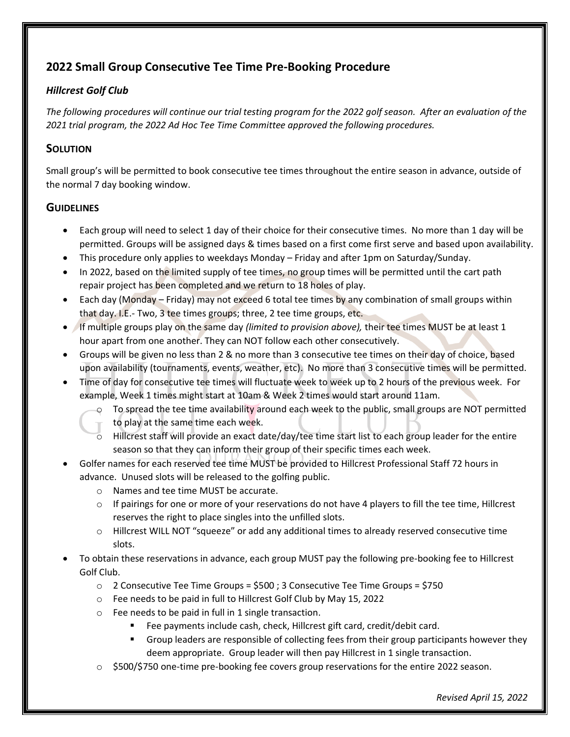## **2022 Small Group Consecutive Tee Time Pre-Booking Procedure**

## *Hillcrest Golf Club*

*The following procedures will continue our trial testing program for the 2022 golf season. After an evaluation of the 2021 trial program, the 2022 Ad Hoc Tee Time Committee approved the following procedures.*

## **SOLUTION**

Small group's will be permitted to book consecutive tee times throughout the entire season in advance, outside of the normal 7 day booking window.

## **GUIDELINES**

- Each group will need to select 1 day of their choice for their consecutive times. No more than 1 day will be permitted. Groups will be assigned days & times based on a first come first serve and based upon availability.
- This procedure only applies to weekdays Monday Friday and after 1pm on Saturday/Sunday.
- In 2022, based on the limited supply of tee times, no group times will be permitted until the cart path repair project has been completed and we return to 18 holes of play.
- Each day (Monday Friday) may not exceed 6 total tee times by any combination of small groups within that day. I.E.- Two, 3 tee times groups; three, 2 tee time groups, etc.
- If multiple groups play on the same day *(limited to provision above),* their tee times MUST be at least 1 hour apart from one another. They can NOT follow each other consecutively.
- Groups will be given no less than 2 & no more than 3 consecutive tee times on their day of choice, based upon availability (tournaments, events, weather, etc). No more than 3 consecutive times will be permitted.
- Time of day for consecutive tee times will fluctuate week to week up to 2 hours of the previous week. For example, Week 1 times might start at 10am & Week 2 times would start around 11am.
	- o To spread the tee time availability around each week to the public, small groups are NOT permitted
	- to play at the same time each week.
	- $\circ$  Hillcrest staff will provide an exact date/day/tee time start list to each group leader for the entire season so that they can inform their group of their specific times each week.
- Golfer names for each reserved tee time MUST be provided to Hillcrest Professional Staff 72 hours in advance. Unused slots will be released to the golfing public.
	- o Names and tee time MUST be accurate.
	- $\circ$  If pairings for one or more of your reservations do not have 4 players to fill the tee time, Hillcrest reserves the right to place singles into the unfilled slots.
	- o Hillcrest WILL NOT "squeeze" or add any additional times to already reserved consecutive time slots.
- To obtain these reservations in advance, each group MUST pay the following pre-booking fee to Hillcrest Golf Club.
	- o 2 Consecutive Tee Time Groups = \$500 ; 3 Consecutive Tee Time Groups = \$750
	- o Fee needs to be paid in full to Hillcrest Golf Club by May 15, 2022
	- o Fee needs to be paid in full in 1 single transaction.
		- Fee payments include cash, check, Hillcrest gift card, credit/debit card.
		- **•** Group leaders are responsible of collecting fees from their group participants however they deem appropriate. Group leader will then pay Hillcrest in 1 single transaction.
	- o \$500/\$750 one-time pre-booking fee covers group reservations for the entire 2022 season.

*Revised April 15, 2022*